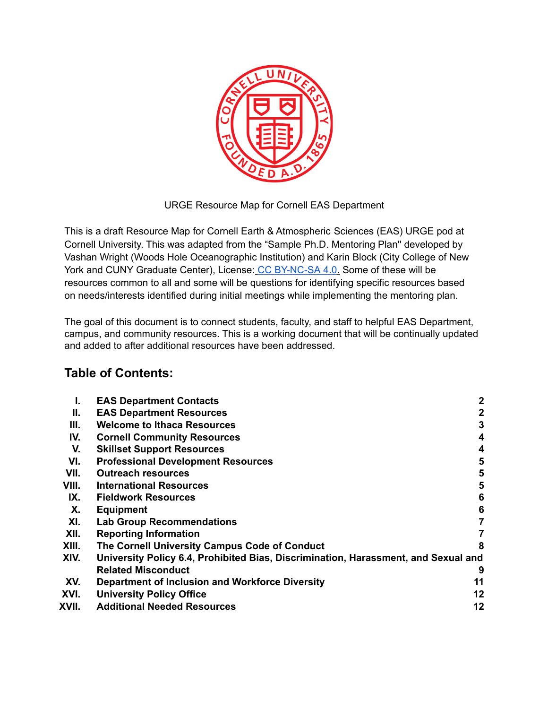

URGE Resource Map for Cornell EAS Department

This is a draft Resource Map for Cornell Earth & Atmospheric Sciences (EAS) URGE pod at Cornell University. This was adapted from the "Sample Ph.D. Mentoring Plan'' developed by Vashan Wright (Woods Hole Oceanographic Institution) and Karin Block (City College of New York and CUNY Graduate Center), License: CC BY-NC-SA 4.0. Some of these will be resources common to all and some will be questions for identifying specific resources based on needs/interests identified during initial meetings while implementing the mentoring plan.

The goal of this document is to connect students, faculty, and staff to helpful EAS Department, campus, and community resources. This is a working document that will be continually updated and added to after additional resources have been addressed.

# **Table of Contents:**

| <b>EAS Department Contacts</b>                  | $\boldsymbol{2}$                                                                   |
|-------------------------------------------------|------------------------------------------------------------------------------------|
| <b>EAS Department Resources</b>                 | $\mathbf 2$                                                                        |
| <b>Welcome to Ithaca Resources</b>              | 3                                                                                  |
| <b>Cornell Community Resources</b>              | 4                                                                                  |
| <b>Skillset Support Resources</b>               | 4                                                                                  |
| <b>Professional Development Resources</b>       | 5                                                                                  |
| <b>Outreach resources</b>                       | 5                                                                                  |
| <b>International Resources</b>                  | 5                                                                                  |
| <b>Fieldwork Resources</b>                      | 6                                                                                  |
| <b>Equipment</b>                                | 6                                                                                  |
| <b>Lab Group Recommendations</b>                | $\overline{7}$                                                                     |
| <b>Reporting Information</b>                    | 7                                                                                  |
| The Cornell University Campus Code of Conduct   | 8                                                                                  |
|                                                 |                                                                                    |
| <b>Related Misconduct</b>                       | 9                                                                                  |
| Department of Inclusion and Workforce Diversity | 11                                                                                 |
| <b>University Policy Office</b>                 | 12                                                                                 |
| <b>Additional Needed Resources</b>              | 12                                                                                 |
|                                                 | University Policy 6.4, Prohibited Bias, Discrimination, Harassment, and Sexual and |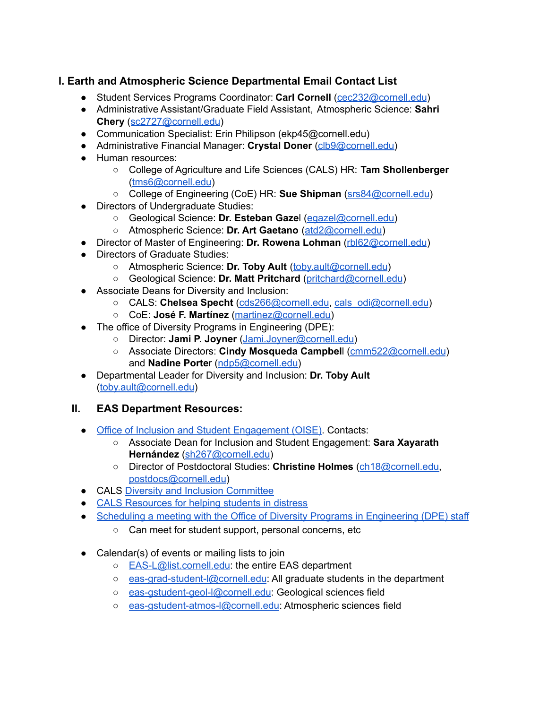## <span id="page-1-0"></span>**I. Earth and Atmospheric Science Departmental Email Contact List**

- Student Services Programs Coordinator: **Carl Cornell** ([cec232@cornell.edu](mailto:cec232@cornell.edu))
- Administrative Assistant/Graduate Field Assistant, Atmospheric Science: **Sahri Chery** ([sc2727@cornell.edu](mailto:sc2727@cornell.edu))
- Communication Specialist: Erin Philipson (ekp45@cornell.edu)
- Administrative Financial Manager: **Crystal Doner** [\(clb9@cornell.edu\)](mailto:clb9@cornell.edu)
- Human resources:
	- College of Agriculture and Life Sciences (CALS) HR: **Tam Shollenberger** ([tms6@cornell.edu](mailto:tms6@cornell.edu))
	- College of Engineering (CoE) HR: **Sue Shipman** [\(srs84@cornell.edu](mailto:srs84@cornell.edu))
- Directors of Undergraduate Studies:
	- Geological Science: **Dr. Esteban Gaze**l [\(egazel@cornell.edu\)](mailto:egazel@cornell.edu)
	- Atmospheric Science: **Dr. Art Gaetano** ([atd2@cornell.edu](mailto:atd2@cornell.edu))
- Director of Master of Engineering: **Dr. Rowena Lohman** ([rbl62@cornell.edu](mailto:rbl62@cornell.edu))
- Directors of Graduate Studies:
	- Atmospheric Science: **Dr. Toby Ault** ([toby.ault@cornell.edu](mailto:toby.ault@cornell.edu))
	- Geological Science: **Dr. Matt Pritchard** ([pritchard@cornell.edu](mailto:pritchard@cornell.edu))
- Associate Deans for Diversity and Inclusion:
	- CALS: **Chelsea Specht** [\(cds266@cornell.edu,](mailto:cds266@cornell.edu) [cals\\_odi@cornell.edu](mailto:cals_odi@cornell.edu))
	- CoE: **José F. Martínez** ([martinez@cornell.edu\)](mailto:martinez@cornell.edu)
- The office of Diversity Programs in Engineering (DPE):
	- Director: **Jami P. Joyner** ([Jami.Joyner@cornell.edu\)](mailto:Jami.Joyner@cornell.edu)
	- Associate Directors: **Cindy Mosqueda Campbel**l [\(cmm522@cornell.edu](mailto:cmm522@cornell.edu)) and **Nadine Porte**r ([ndp5@cornell.edu\)](mailto:ndp5@cornell.edu)
- Departmental Leader for Diversity and Inclusion: **Dr. Toby Ault** ([toby.ault@cornell.edu](mailto:toby.ault@cornell.edu))

### <span id="page-1-1"></span>**II. EAS Department Resources:**

- Office of Inclusion and Student [Engagement](https://gradschool.cornell.edu/diversity-inclusion/about-oise/) (OISE). Contacts:
	- Associate Dean for Inclusion and Student Engagement: **Sara Xayarath Hernández** ([sh267@cornell.edu\)](mailto:sh267@cornell.edu)
	- Director of Postdoctoral Studies: **Christine Holmes** ([ch18@cornell.edu,](mailto:ch18@cornell.edu) [postdocs@cornell.edu\)](mailto:postdocs@cornell.edu)
- CALS Diversity and Inclusion [Committee](https://cals.cornell.edu/faculty-staff/faculty-governance/standing-committees/cals-diversity-and-inclusion-committee)
- CALS Resources for helping [students](https://cals.cornell.edu/faculty-staff/advising-resources/recognizing-and-helping-students-distress) in distress
- Scheduling a meeting with the Office of Diversity Programs in [Engineering](https://outlook.office365.com/owa/calendar/engineeringdiversity@cornellprod.onmicrosoft.com/bookings/) (DPE) staff
	- Can meet for student support, personal concerns, etc
- Calendar(s) of events or mailing lists to join
	- **[EAS-L@list.cornell.edu](mailto:EAS-L@list.cornell.edu):** the entire EAS department
	- [eas-grad-student-l@cornell.edu](mailto:eas-grad-student-l@cornell.edu): All graduate students in the department
	- [eas-gstudent-geol-l@cornell.edu](mailto:eas-gstudent-geol-l@cornell.edu): Geological sciences field
	- [eas-gstudent-atmos-l@cornell.edu](mailto:eas-gstudent-atmos-l@cornell.edu): Atmospheric sciences field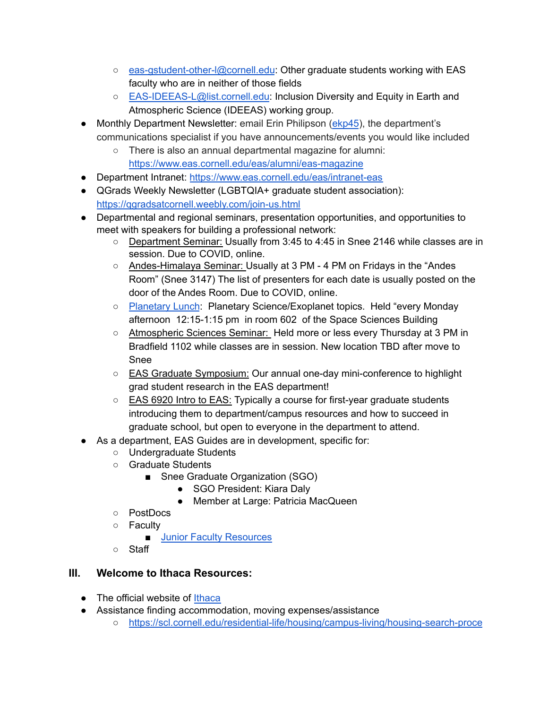- [eas-gstudent-other-l@cornell.edu](mailto:eas-gstudent-other-l@cornell.edu): Other graduate students working with EAS faculty who are in neither of those fields
- [EAS-IDEEAS-L@list.cornell.edu](mailto:EAS-IDEEAS-L@list.cornell.edu): Inclusion Diversity and Equity in Earth and Atmospheric Science (IDEEAS) working group.
- Monthly Department Newsletter: email Erin Philipson [\(ekp45](mailto:ekp45@cornell.edu)), the department's communications specialist if you have announcements/events you would like included
	- There is also an annual departmental magazine for alumni: <https://www.eas.cornell.edu/eas/alumni/eas-magazine>
- Department Intranet: <https://www.eas.cornell.edu/eas/intranet-eas>
- **●** QGrads Weekly Newsletter (LGBTQIA+ graduate student association): <https://qgradsatcornell.weebly.com/join-us.html>
- Departmental and regional seminars, presentation opportunities, and opportunities to meet with speakers for building a professional network:
	- Department Seminar: Usually from 3:45 to 4:45 in Snee 2146 while classes are in session. Due to COVID, online.
	- Andes-Himalaya Seminar: Usually at 3 PM 4 PM on Fridays in the "Andes Room" (Snee 3147) The list of presenters for each date is usually posted on the door of the Andes Room. Due to COVID, online.
	- [Planetary](https://astro.cornell.edu/lectures-colloquia) Lunch: Planetary Science/Exoplanet topics. Held "every Monday afternoon 12:15-1:15 pm in room 602 of the Space Sciences Building
	- Atmospheric Sciences Seminar: Held more or less every Thursday at 3 PM in Bradfield 1102 while classes are in session. New location TBD after move to Snee
	- EAS Graduate Symposium: Our annual one-day mini-conference to highlight grad student research in the EAS department!
	- EAS 6920 Intro to EAS: Typically a course for first-year graduate students introducing them to department/campus resources and how to succeed in graduate school, but open to everyone in the department to attend.
	- As a department, EAS Guides are in development, specific for:
		- Undergraduate Students
		- Graduate Students
			- Snee Graduate Organization (SGO)
				- SGO President: Kiara Daly
				- Member at Large: Patricia MacQueen
		- PostDocs
		- Faculty
			- Junior Faculty [Resources](https://facultydevelopment.cornell.edu/faculty-resources/tenure-and-promotion/)
		- Staff

# <span id="page-2-0"></span>**III. Welcome to Ithaca Resources:**

- The official website of [Ithaca](https://www.visitithaca.com/)
- Assistance finding accommodation, moving expenses/assistance
	- [https://scl.cornell.edu/residential-life/housing/campus-living/housing-search-proce](https://scl.cornell.edu/residential-life/housing/campus-living/housing-search-process)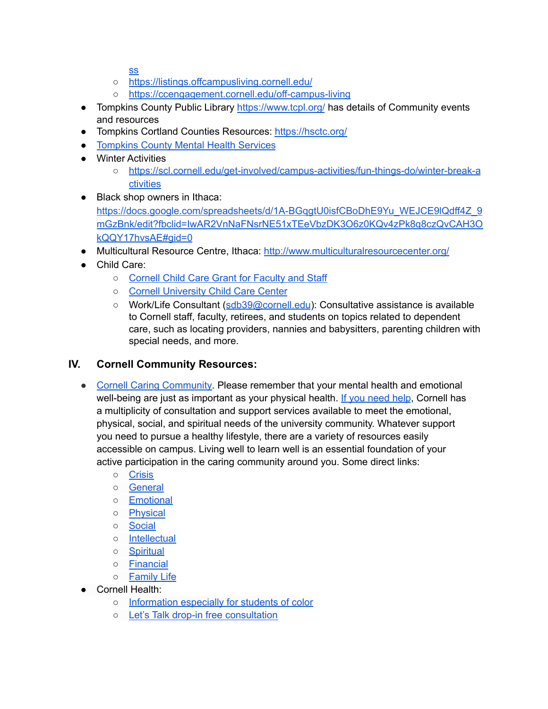[ss](https://scl.cornell.edu/residential-life/housing/campus-living/housing-search-process)

- <https://listings.offcampusliving.cornell.edu/>
- <https://ccengagement.cornell.edu/off-campus-living>
- Tompkins County Public Library <https://www.tcpl.org/> has details of Community events and resources
- Tompkins Cortland Counties Resources: <https://hsctc.org/>
- [Tompkins](https://www2.tompkinscountyny.gov/mh) County Mental Health Services
- Winter Activities
	- [https://scl.cornell.edu/get-involved/campus-activities/fun-things-do/winter-break-a](https://scl.cornell.edu/get-involved/campus-activities/fun-things-do/winter-break-activities) [ctivities](https://scl.cornell.edu/get-involved/campus-activities/fun-things-do/winter-break-activities)
- Black shop owners in Ithaca: https://docs.google.com/spreadsheets/d/1A-BGqqtU0isfCBoDhE9Yu\_WEJCE9lQdff4Z\_9 [mGzBnk/edit?fbclid=IwAR2VnNaFNsrNE51xTEeVbzDK3O6z0KQv4zPk8q8czQvCAH3O](https://docs.google.com/spreadsheets/d/1A-BGqgtU0isfCBoDhE9Yu_WEJCE9lQdff4Z_9mGzBnk/edit?fbclid=IwAR2VnNaFNsrNE51xTEeVbzDK3O6z0KQv4zPk8q8czQvCAH3OkQQY17hvsAE#gid=0) [kQQY17hvsAE#gid=0](https://docs.google.com/spreadsheets/d/1A-BGqgtU0isfCBoDhE9Yu_WEJCE9lQdff4Z_9mGzBnk/edit?fbclid=IwAR2VnNaFNsrNE51xTEeVbzDK3O6z0KQv4zPk8q8czQvCAH3OkQQY17hvsAE#gid=0)
- Multicultural Resource Centre, Ithaca: <http://www.multiculturalresourcecenter.org/>
- Child Care:
	- Cornell Child Care Grant for [Faculty](https://hr.cornell.edu/benefits-pay/retirement-finances/financial-assistance/child-care-grant-faculty-and-staff) and Staff
	- Cornell [University](https://child-care-preschool.brighthorizons.com/ny/ithaca/cornell) Child Care Center
	- Work/Life Consultant ([sdb39@cornell.edu](mailto:sdb39@cornell.edu)): Consultative assistance is available to Cornell staff, faculty, retirees, and students on topics related to dependent care, such as locating providers, nannies and babysitters, parenting children with special needs, and more.

### <span id="page-3-0"></span>**IV. Cornell Community Resources:**

- Cornell Caring [Community.](http://caringcommunity.cornell.edu/get-help/) Please remember that your mental health and emotional well-being are just as important as your physical health. If you [need](https://caringcommunity.cornell.edu/get-help/) help, Cornell has a multiplicity of consultation and support services available to meet the emotional, physical, social, and spiritual needs of the university community. Whatever support you need to pursue a healthy lifestyle, there are a variety of resources easily accessible on campus. Living well to learn well is an essential foundation of your active participation in the caring community around you. Some direct links:
	- [Crisis](http://caringcommunity.cornell.edu/get-help/#crisis)
	- [General](http://caringcommunity.cornell.edu/get-help/#general)
	- [Emotional](http://caringcommunity.cornell.edu/get-help/#emotional)
	- [Physical](http://caringcommunity.cornell.edu/get-help/#physical)
	- [Social](http://caringcommunity.cornell.edu/get-help/#social)
	- [Intellectual](http://caringcommunity.cornell.edu/get-help/#intellectual)
	- [Spiritual](http://caringcommunity.cornell.edu/get-help/#social)
	- [Financial](http://caringcommunity.cornell.edu/get-help/#financial)
	- [Family](http://caringcommunity.cornell.edu/get-help/#familylife) Life
- **Cornell Health:** 
	- o [Information](https://health.cornell.edu/resources/especially-for/students-of-color) especially for students of color
	- Let's Talk drop-in free [consultation](https://health.cornell.edu/services/mental-health-care/lets-talk)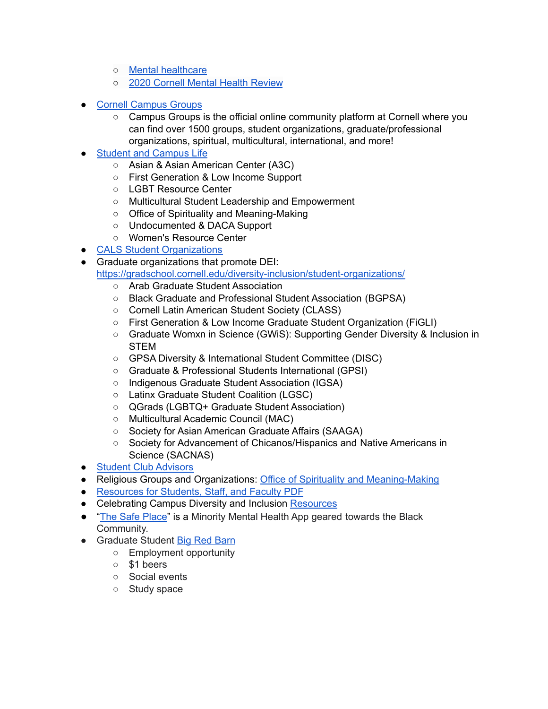- Mental [healthcare](https://health.cornell.edu/services/mental-health-care)
- 2020 Cornell Mental Health [Review](https://cpb-us-e1.wpmucdn.com/blogs.cornell.edu/dist/b/8750/files/2020/10/Cornell_MHR-Final-Report_4-15-20_Final.pdf)
- **Cornell [Campus](https://cornell.campusgroups.com/home_login) Groups** 
	- Campus Groups is the official online community platform at Cornell where you can find over 1500 groups, student organizations, graduate/professional organizations, spiritual, multicultural, international, and more!
- **Student and [Campus](https://scl.cornell.edu/get-involved) Life** 
	- Asian & Asian American Center (A3C)
	- First Generation & Low Income Support
	- LGBT Resource Center
	- Multicultural Student Leadership and Empowerment
	- Office of Spirituality and Meaning-Making
	- Undocumented & DACA Support
	- Women's Resource Center
- CALS Student [Organizations](https://cals.cornell.edu/undergraduate-students/cals-student-organizations)
- Graduate organizations that promote DEI: <https://gradschool.cornell.edu/diversity-inclusion/student-organizations/>
	- Arab Graduate Student Association
	- Black Graduate and Professional Student Association (BGPSA)
	- Cornell Latin American Student Society (CLASS)
	- First Generation & Low Income Graduate Student Organization (FiGLI)
	- Graduate Womxn in Science (GWiS): Supporting Gender Diversity & Inclusion in **STEM**
	- GPSA Diversity & International Student Committee (DISC)
	- Graduate & Professional Students International (GPSI)
	- Indigenous Graduate Student Association (IGSA)
	- Latinx Graduate Student Coalition (LGSC)
	- QGrads (LGBTQ+ Graduate Student Association)
	- Multicultural Academic Council (MAC)
	- Society for Asian American Graduate Affairs (SAAGA)
	- Society for Advancement of Chicanos/Hispanics and Native Americans in Science (SACNAS)
- Student Club [Advisors](https://scl.cornell.edu/get-involved/campus-activities/club-advisors)
- Religious Groups and Organizations: Office of Spirituality and [Meaning-Making](https://scl.cornell.edu/osmm)
- **●** [Resources](https://scl.cornell.edu/sites/scl/files/documents/Maxient-ResourceList.pdf) for Students, Staff, and Faculty PDF
- Celebrating Campus Diversity and Inclusion [Resources](https://diversity.cornell.edu/our-community/dei-celebration-resources)
- "The Safe [Place"](https://apps.apple.com/us/app/the-safe-place/id1349460763) is a Minority Mental Health App geared towards the Black Community.
- Graduate Student Big Red [Barn](https://gradschool.cornell.edu/student-experience/big-red-barn/)
	- Employment opportunity
	- \$1 beers
	- Social events
	- Study space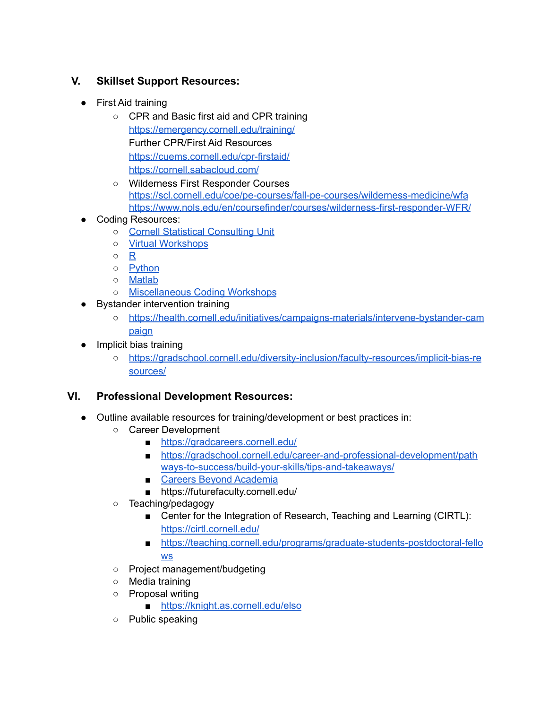## <span id="page-5-0"></span>**V. Skillset Support Resources:**

- First Aid training
	- CPR and Basic first aid and CPR training <https://emergency.cornell.edu/training/> Further CPR/First Aid Resources <https://cuems.cornell.edu/cpr-firstaid/> [https://cornell.sabacloud.com/](https://emergency.cornell.edu/training/)
	- Wilderness First Responder Courses <https://scl.cornell.edu/coe/pe-courses/fall-pe-courses/wilderness-medicine/wfa> <https://www.nols.edu/en/coursefinder/courses/wilderness-first-responder-WFR/>
- **Coding Resources:** 
	- Cornell Statistical [Consulting](http://www.cscu.cornell.edu/) Unit
	- Virtual [Workshops](https://cvw.cac.cornell.edu/topics)
	- [R](https://www.cscu.cornell.edu/workshops/intro_r.php)
	- [Python](https://cvw.cac.cornell.edu/pythonintro/)
	- [Matlab](https://cvw.cac.cornell.edu/matlab/)
	- [Miscellaneous](https://www.cscu.cornell.edu/workshops/catalog.php) Coding Workshops
- Bystander intervention training
	- [https://health.cornell.edu/initiatives/campaigns-materials/intervene-bystander-cam](https://health.cornell.edu/initiatives/campaigns-materials/intervene-bystander-campaign) [paign](https://health.cornell.edu/initiatives/campaigns-materials/intervene-bystander-campaign)
- Implicit bias training
	- [https://gradschool.cornell.edu/diversity-inclusion/faculty-resources/implicit-bias-re](https://gradschool.cornell.edu/diversity-inclusion/faculty-resources/implicit-bias-resources/) [sources/](https://gradschool.cornell.edu/diversity-inclusion/faculty-resources/implicit-bias-resources/)

# <span id="page-5-1"></span>**VI. Professional Development Resources:**

- Outline available resources for training/development or best practices in:
	- Career Development
		- <https://gradcareers.cornell.edu/>
		- [https://gradschool.cornell.edu/career-and-professional-development/path](https://gradschool.cornell.edu/career-and-professional-development/pathways-to-success/build-your-skills/tips-and-takeaways/) [ways-to-success/build-your-skills/tips-and-takeaways/](https://gradschool.cornell.edu/career-and-professional-development/pathways-to-success/build-your-skills/tips-and-takeaways/)
		- Careers Beyond [Academia](https://gradcareers.cornell.edu/)
		- https://futurefaculty.cornell.edu/
	- Teaching/pedagogy
		- Center for the Integration of Research, Teaching and Learning (CIRTL): <https://cirtl.cornell.edu/>
		- [https://teaching.cornell.edu/programs/graduate-students-postdoctoral-fello](https://teaching.cornell.edu/programs/graduate-students-postdoctoral-fellows) [ws](https://teaching.cornell.edu/programs/graduate-students-postdoctoral-fellows)
	- Project management/budgeting
	- Media training
	- Proposal writing
		- <https://knight.as.cornell.edu/elso>
	- Public speaking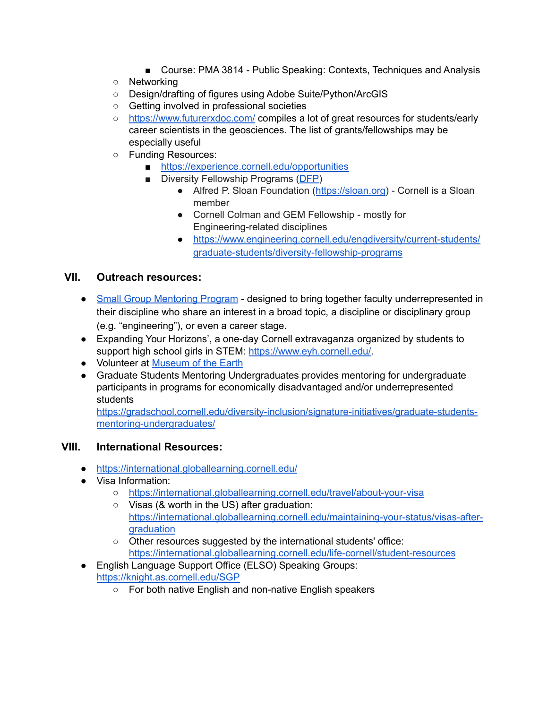- Course: PMA 3814 Public Speaking: Contexts, Techniques and Analysis
- Networking
- Design/drafting of figures using Adobe Suite/Python/ArcGIS
- Getting involved in professional societies
- <https://www.futurerxdoc.com/> compiles a lot of great resources for students/early career scientists in the geosciences. The list of grants/fellowships may be especially useful
- Funding Resources:
	- <https://experience.cornell.edu/opportunities>
	- Diversity Fellowship Programs ([DFP\)](https://www.engineering.cornell.edu/engdiversity/current-students/graduate-students/diversity-fellowship-programs)
		- Alfred P. Sloan Foundation ([https://sloan.org\)](https://sloan.org) Cornell is a Sloan member
		- Cornell Colman and GEM Fellowship mostly for Engineering-related disciplines
		- [https://www.engineering.cornell.edu/engdiversity/current-students/](https://www.engineering.cornell.edu/engdiversity/current-students/graduate-students/diversity-fellowship-programs) [graduate-students/diversity-fellowship-programs](https://www.engineering.cornell.edu/engdiversity/current-students/graduate-students/diversity-fellowship-programs)

#### <span id="page-6-0"></span>**VII. Outreach resources:**

- Small Group [Mentoring](https://facultydevelopment.cornell.edu/small-group-mentoring-program-invitation-to-mentor/) Program designed to bring together faculty underrepresented in their discipline who share an interest in a broad topic, a discipline or disciplinary group (e.g. "engineering"), or even a career stage.
- Expanding Your Horizons', a one-day Cornell extravaganza organized by students to support high school girls in STEM: [https://www.eyh.cornell.edu/.](https://www.eyh.cornell.edu/)
- Volunteer at [Museum](http://priweb.org) of the Earth
- Graduate Students Mentoring Undergraduates provides mentoring for undergraduate participants in programs for economically disadvantaged and/or underrepresented students

[https://gradschool.cornell.edu/diversity-inclusion/signature-initiatives/graduate-students](https://gradschool.cornell.edu/diversity-inclusion/signature-initiatives/graduate-students-mentoring-undergraduates/)[mentoring-undergraduates/](https://gradschool.cornell.edu/diversity-inclusion/signature-initiatives/graduate-students-mentoring-undergraduates/)

#### <span id="page-6-1"></span>**VIII. International Resources:**

- <https://international.globallearning.cornell.edu/>
- Visa Information:
	- <https://international.globallearning.cornell.edu/travel/about-your-visa>
	- Visas (& worth in the US) after graduation: [https://international.globallearning.cornell.edu/maintaining-your-status/visas-after](https://international.globallearning.cornell.edu/maintaining-your-status/visas-after-graduation)[graduation](https://international.globallearning.cornell.edu/maintaining-your-status/visas-after-graduation)
	- Other resources suggested by the international students' office: <https://international.globallearning.cornell.edu/life-cornell/student-resources>
- English Language Support Office (ELSO) Speaking Groups: <https://knight.as.cornell.edu/SGP>
	- For both native English and non-native English speakers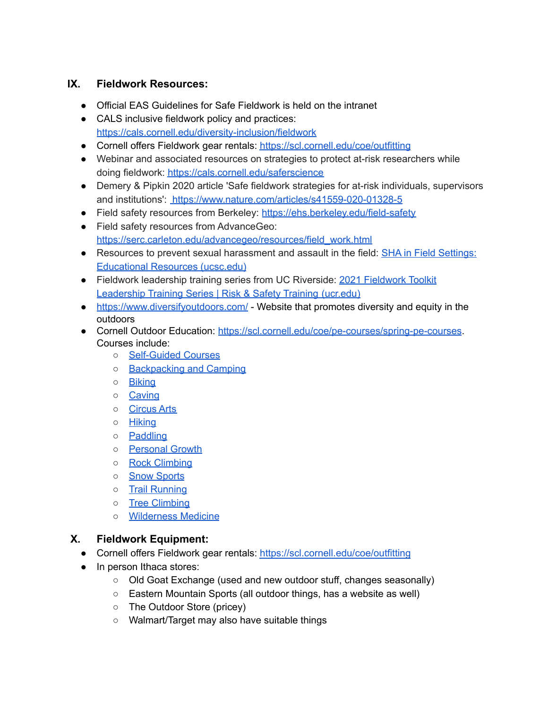### <span id="page-7-0"></span>**IX. Fieldwork Resources:**

- Official EAS Guidelines for Safe Fieldwork is held on the intranet
- CALS inclusive fieldwork policy and practices: <https://cals.cornell.edu/diversity-inclusion/fieldwork>
- Cornell offers Fieldwork gear rentals: <https://scl.cornell.edu/coe/outfitting>
- Webinar and associated resources on strategies to protect at-risk researchers while doing fieldwork: <https://cals.cornell.edu/saferscience>
- Demery & Pipkin 2020 article 'Safe fieldwork strategies for at-risk individuals, supervisors and institutions': <https://www.nature.com/articles/s41559-020-01328-5>
- Field safety resources from Berkeley: <https://ehs.berkeley.edu/field-safety>
- Field safety resources from AdvanceGeo: [https://serc.carleton.edu/advancegeo/resources/field\\_work.html](https://serc.carleton.edu/advancegeo/resources/field_work.html)
- Resources to prevent sexual harassment and assault in the field: SHA in Field [Settings:](https://fieldworkfuture.ucsc.edu/SHAeducationalresources.html#content1-19) [Educational](https://fieldworkfuture.ucsc.edu/SHAeducationalresources.html#content1-19) Resources (ucsc.edu)
- [Fieldwork](https://training.ucr.edu/fieldworkleadership) leadership training series from UC Riverside: 2021 Fieldwork Toolkit [Leadership](https://training.ucr.edu/fieldworkleadership) Training Series | Risk & Safety Training (ucr.edu)
- <https://www.diversifyoutdoors.com/> Website that promotes diversity and equity in the outdoors
- Cornell Outdoor Education: <https://scl.cornell.edu/coe/pe-courses/spring-pe-courses>. Courses include:
	- [Self-Guided](https://scl.cornell.edu/coe/pe-courses/spring-pe-courses/self-guided-courses) Courses
	- [Backpacking](https://scl.cornell.edu/coe/pe-courses/spring-pe-courses/backpacking-and-camping) and Camping
	- [Biking](https://scl.cornell.edu/coe/pe-courses/spring-pe-courses/biking)
	- [Caving](https://scl.cornell.edu/coe/pe-courses/spring-pe-courses/caving/caving)
	- [Circus](https://scl.cornell.edu/coe/pe-courses/spring-pe-courses/circus) Arts
	- [Hiking](https://scl.cornell.edu/coe/pe-courses/spring-pe-courses/hiking)
	- [Paddling](https://scl.cornell.edu/coe/pe-courses/spring-pe-courses/paddling)
	- o [Personal](https://scl.cornell.edu/coe/pe-courses/spring-pe-courses/personal-growth) Growth
	- Rock [Climbing](https://scl.cornell.edu/coe/pe-courses/spring-pe-courses/rock-climbing)
	- o Snow [Sports](https://scl.cornell.edu/coe/pe-courses/spring-pe-courses/snow-sports)
	- Trail [Running](https://scl.cornell.edu/coe/pe-courses/spring-pe-courses/trail-running)
	- Tree [Climbing](https://scl.cornell.edu/coe/pe-courses/spring-pe-courses/tree-climbing)
	- [Wilderness](https://scl.cornell.edu/coe/pe-courses/spring-pe-courses/wilderness-medicine) Medicine

### <span id="page-7-1"></span>**X. Fieldwork Equipment:**

- Cornell offers Fieldwork gear rentals: <https://scl.cornell.edu/coe/outfitting>
- In person Ithaca stores:
	- Old Goat Exchange (used and new outdoor stuff, changes seasonally)
	- Eastern Mountain Sports (all outdoor things, has a website as well)
	- The Outdoor Store (pricey)
	- Walmart/Target may also have suitable things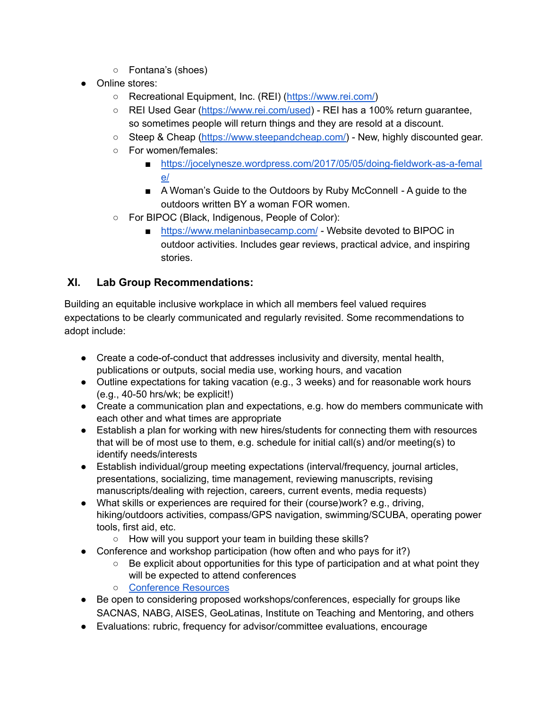- Fontana's (shoes)
- Online stores:
	- Recreational Equipment, Inc. (REI) ([https://www.rei.com/\)](https://www.rei.com/)
	- REI Used Gear [\(https://www.rei.com/used](https://www.rei.com/used)) REI has a 100% return guarantee, so sometimes people will return things and they are resold at a discount.
	- Steep & Cheap [\(https://www.steepandcheap.com/\)](https://www.steepandcheap.com/) New, highly discounted gear.
	- For women/females:
		- [https://jocelynesze.wordpress.com/2017/05/05/doing-fieldwork-as-a-femal](https://jocelynesze.wordpress.com/2017/05/05/doing-fieldwork-as-a-female/) [e/](https://jocelynesze.wordpress.com/2017/05/05/doing-fieldwork-as-a-female/)
		- A Woman's Guide to the Outdoors by Ruby McConnell A guide to the outdoors written BY a woman FOR women.
	- For BIPOC (Black, Indigenous, People of Color):
		- <https://www.melaninbasecamp.com/> Website devoted to BIPOC in outdoor activities. Includes gear reviews, practical advice, and inspiring stories.

### <span id="page-8-0"></span>**XI. Lab Group Recommendations:**

Building an equitable inclusive workplace in which all members feel valued requires expectations to be clearly communicated and regularly revisited. Some recommendations to adopt include:

- Create a code-of-conduct that addresses inclusivity and diversity, mental health, publications or outputs, social media use, working hours, and vacation
- Outline expectations for taking vacation (e.g., 3 weeks) and for reasonable work hours (e.g., 40-50 hrs/wk; be explicit!)
- Create a communication plan and expectations, e.g. how do members communicate with each other and what times are appropriate
- Establish a plan for working with new hires/students for connecting them with resources that will be of most use to them, e.g. schedule for initial call(s) and/or meeting(s) to identify needs/interests
- Establish individual/group meeting expectations (interval/frequency, journal articles, presentations, socializing, time management, reviewing manuscripts, revising manuscripts/dealing with rejection, careers, current events, media requests)
- What skills or experiences are required for their (course)work? e.g., driving, hiking/outdoors activities, compass/GPS navigation, swimming/SCUBA, operating power tools, first aid, etc.
	- How will you support your team in building these skills?
- Conference and workshop participation (how often and who pays for it?)
	- $\circ$  Be explicit about opportunities for this type of participation and at what point they will be expected to attend conferences
	- [Conference](https://gradschool.cornell.edu/financial-support/travel-funding-opportunities/) Resources
- Be open to considering proposed workshops/conferences, especially for groups like SACNAS, NABG, AISES, GeoLatinas, Institute on Teaching and Mentoring, and others
- Evaluations: rubric, frequency for advisor/committee evaluations, encourage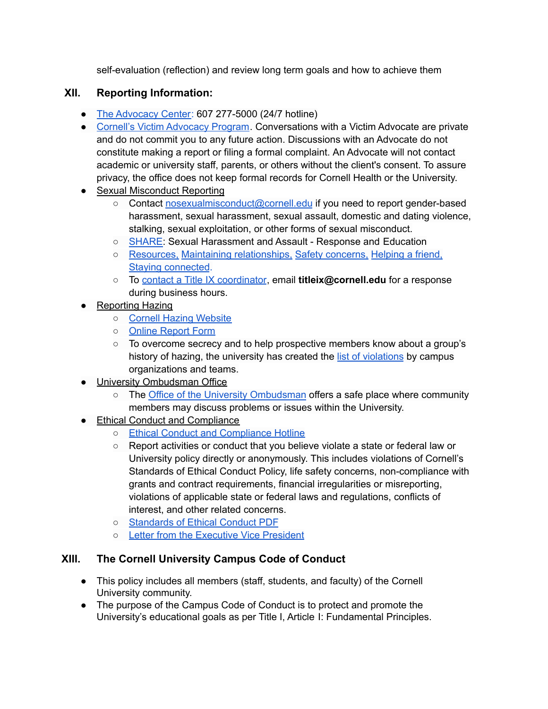self-evaluation (reflection) and review long term goals and how to achieve them

## <span id="page-9-0"></span>**XII. Reporting Information:**

- The [Advocacy](http://theadvocacycenter.org/) Center: 607 277-5000 (24/7 hotline)
- Cornell's Victim [Advocacy](https://health.cornell.edu/services/victim-advocacy) Program. Conversations with a Victim Advocate are private and do not commit you to any future action. Discussions with an Advocate do not constitute making a report or filing a formal complaint. An Advocate will not contact academic or university staff, parents, or others without the client's consent. To assure privacy, the office does not keep formal records for Cornell Health or the University.
- Sexual Misconduct Reporting
	- Contact [nosexualmisconduct@cornell.edu](mailto:nosexualmisconduct@cornell.edu) if you need to report gender-based harassment, sexual harassment, sexual assault, domestic and dating violence, stalking, sexual exploitation, or other forms of sexual misconduct.
	- [SHARE:](http://www.share.cornell.edu/) Sexual Harassment and Assault Response and Education
	- [Resources,](http://www.share.cornell.edu/during-covid-19/resources/) Maintaining [relationships,](http://www.share.cornell.edu/during-covid-19/maintaining-relationships/) Safety [concerns,](http://www.share.cornell.edu/during-covid-19/safety-concerns/) [Helping](http://www.share.cornell.edu/during-covid-19/helping-a-friend/) a friend, Staying [connected](http://www.share.cornell.edu/during-covid-19/stay-connected/).
	- To contact a Title IX [coordinator](https://titleix.cornell.edu/about-us/), email **titleix@cornell.edu** for a response during business hours.
- **Reporting Hazing** 
	- Cornell Hazing [Website](https://hazing.cornell.edu/)
	- Online [Report](https://hazing.cornell.edu/reporting) Form
	- To overcome secrecy and to help prospective members know about a group's history of hazing, the university has created the list of [violations](https://hazing.cornell.edu/violations) by campus organizations and teams.
- University Ombudsman Office
	- The Office of the University [Ombudsman](https://www.ombudsman.cornell.edu/) offers a safe place where community members may discuss problems or issues within the University.
- Ethical Conduct and Compliance
	- Ethical Conduct and [Compliance](https://secure.ethicspoint.com/domain/media/en/gui/6357/index.html) Hotline
	- Report activities or conduct that you believe violate a state or federal law or University policy directly or anonymously. This includes violations of Cornell's Standards of Ethical Conduct Policy, life safety concerns, non-compliance with grants and contract requirements, financial irregularities or misreporting, violations of applicable state or federal laws and regulations, conflicts of interest, and other related concerns.
	- [Standards](https://secure.ethicspoint.com/domain/media/en/gui/6357/code.pdf) of Ethical Conduct PDF
	- Letter from the [Executive](https://secure.ethicspoint.com/domain/media/en/gui/6357/letter.pdf) Vice President

### <span id="page-9-1"></span>**XIII. The Cornell University Campus Code of Conduct**

- This policy includes all members (staff, students, and faculty) of the Cornell University community.
- The purpose of the Campus Code of Conduct is to protect and promote the University's educational goals as per Title I, Article I: Fundamental Principles.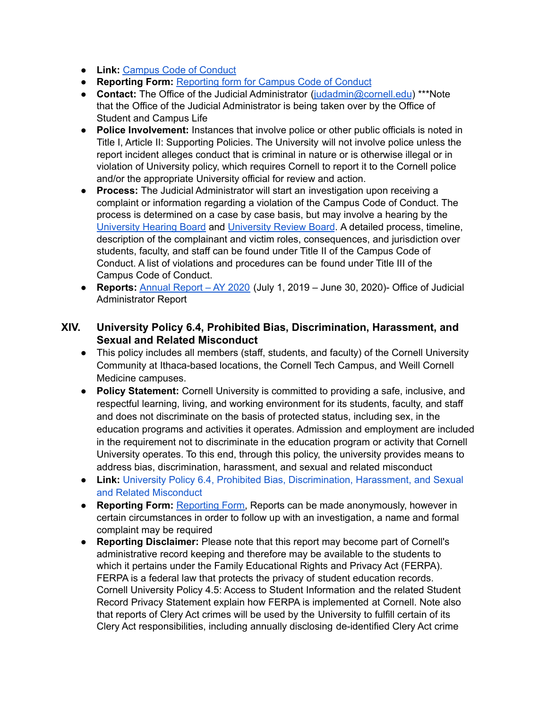- **Link:** [Campus](https://www.dfa.cornell.edu/sites/default/files/policy/CCC.pdf) Code of Conduct
- **Reporting Form:** [Reporting](https://cm.maxient.com/reportingform.php?CornellUniv&layout_id=42) form for Campus Code of Conduct
- **Contact:** The Office of the Judicial Administrator ([judadmin@cornell.edu](mailto:judadmin@cornell.edu)) \*\*\*Note that the Office of the Judicial Administrator is being taken over by the Office of Student and Campus Life
- **Police Involvement:** Instances that involve police or other public officials is noted in Title I, Article II: Supporting Policies. The University will not involve police unless the report incident alleges conduct that is criminal in nature or is otherwise illegal or in violation of University policy, which requires Cornell to report it to the Cornell police and/or the appropriate University official for review and action.
- **● Process:** The Judicial Administrator will start an investigation upon receiving a complaint or information regarding a violation of the Campus Code of Conduct. The process is determined on a case by case basis, but may involve a hearing by the [University](https://cpb-us-e1.wpmucdn.com/blogs.cornell.edu/dist/d/2780/files/2013/01/UHB-Procedures-xpjal0.pdf) Hearing Board and [University](https://cpb-us-e1.wpmucdn.com/blogs.cornell.edu/dist/d/2780/files/2013/01/URB-Procedures-1573ryx.pdf) Review Board. A detailed process, timeline, description of the complainant and victim roles, consequences, and jurisdiction over students, faculty, and staff can be found under Title II of the Campus Code of Conduct. A list of violations and procedures can be found under Title III of the Campus Code of Conduct.
- **● Reports:** [Annual](https://judicialadministrator.cornell.edu/files/2020/11/Annual-Report-AY-2020-1.pdf) Report AY 2020 (July 1, 2019 June 30, 2020)- Office of Judicial Administrator Report

#### <span id="page-10-0"></span>**XIV. University Policy 6.4, Prohibited Bias, Discrimination, Harassment, and Sexual and Related Misconduct**

- This policy includes all members (staff, students, and faculty) of the Cornell University Community at Ithaca-based locations, the Cornell Tech Campus, and Weill Cornell Medicine campuses.
- **Policy Statement:** Cornell University is committed to providing a safe, inclusive, and respectful learning, living, and working environment for its students, faculty, and staff and does not discriminate on the basis of protected status, including sex, in the education programs and activities it operates. Admission and employment are included in the requirement not to discriminate in the education program or activity that Cornell University operates. To this end, through this policy, the university provides means to address bias, discrimination, harassment, and sexual and related misconduct
- **Link:** University Policy 6.4, Prohibited Bias, [Discrimination,](https://www.dfa.cornell.edu/sites/default/files/vol6_4.pdf) Harassment, and Sexual and Related [Misconduct](https://www.dfa.cornell.edu/sites/default/files/vol6_4.pdf)
- **● Reporting Form:** [Reporting](https://cm.maxient.com/reportingform.php?CornellUniv&layout_id=6) Form, Reports can be made anonymously, however in certain circumstances in order to follow up with an investigation, a name and formal complaint may be required
- **● Reporting Disclaimer:** Please note that this report may become part of Cornell's administrative record keeping and therefore may be available to the students to which it pertains under the Family Educational Rights and Privacy Act (FERPA). FERPA is a federal law that protects the privacy of student education records. Cornell University Policy 4.5: Access to Student Information and the related Student Record Privacy Statement explain how FERPA is implemented at Cornell. Note also that reports of Clery Act crimes will be used by the University to fulfill certain of its Clery Act responsibilities, including annually disclosing de-identified Clery Act crime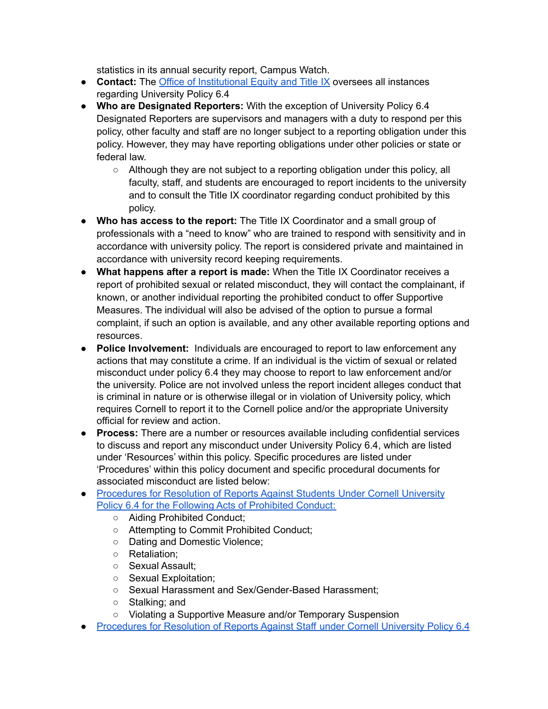statistics in its annual security report, Campus Watch.

- **● Contact:** The Office of [Institutional](https://titleix.cornell.edu/) Equity and Title IX oversees all instances regarding University Policy 6.4
- **Who are Designated Reporters:** With the exception of University Policy 6.4 Designated Reporters are supervisors and managers with a duty to respond per this policy, other faculty and staff are no longer subject to a reporting obligation under this policy. However, they may have reporting obligations under other policies or state or federal law.
	- Although they are not subject to a reporting obligation under this policy, all faculty, staff, and students are encouraged to report incidents to the university and to consult the Title IX coordinator regarding conduct prohibited by this policy.
- **Who has access to the report:** The Title IX Coordinator and a small group of professionals with a "need to know" who are trained to respond with sensitivity and in accordance with university policy. The report is considered private and maintained in accordance with university record keeping requirements.
- **What happens after a report is made:** When the Title IX Coordinator receives a report of prohibited sexual or related misconduct, they will contact the complainant, if known, or another individual reporting the prohibited conduct to offer Supportive Measures. The individual will also be advised of the option to pursue a formal complaint, if such an option is available, and any other available reporting options and resources.
- **Police Involvement:** Individuals are encouraged to report to law enforcement any actions that may constitute a crime. If an individual is the victim of sexual or related misconduct under policy 6.4 they may choose to report to law enforcement and/or the university. Police are not involved unless the report incident alleges conduct that is criminal in nature or is otherwise illegal or in violation of University policy, which requires Cornell to report it to the Cornell police and/or the appropriate University official for review and action.
- **● Process:** There are a number or resources available including confidential services to discuss and report any misconduct under University Policy 6.4, which are listed under 'Resources' within this policy. Specific procedures are listed under 'Procedures' within this policy document and specific procedural documents for associated misconduct are listed below:
- [Procedures](https://cpb-us-e1.wpmucdn.com/blogs.cornell.edu/dist/6/7016/files/2020/08/Procedures-for-Resolution-of-Reports-Against-Students-Under-Cornell-University-Policy-6.4-8.14.2020.pdf) for Resolution of Reports Against Students Under Cornell University Policy 6.4 for the Following Acts of [Prohibited](https://cpb-us-e1.wpmucdn.com/blogs.cornell.edu/dist/6/7016/files/2020/08/Procedures-for-Resolution-of-Reports-Against-Students-Under-Cornell-University-Policy-6.4-8.14.2020.pdf) Conduct:
	- Aiding Prohibited Conduct;
	- Attempting to Commit Prohibited Conduct;
	- Dating and Domestic Violence;
	- Retaliation;
	- Sexual Assault;
	- Sexual Exploitation:
	- Sexual Harassment and Sex/Gender-Based Harassment;
	- Stalking; and
	- Violating a Supportive Measure and/or Temporary Suspension
- [Procedures](https://cpb-us-e1.wpmucdn.com/blogs.cornell.edu/dist/6/7016/files/2019/05/Procedures-for-Resolution-of-Reports-of-Prohibited-Discrimination-Against-Staff-Under-Cornell-University-Policy-6.4-6.1.2019-2.pdf) for Resolution of Reports Against Staff under Cornell University Policy 6.4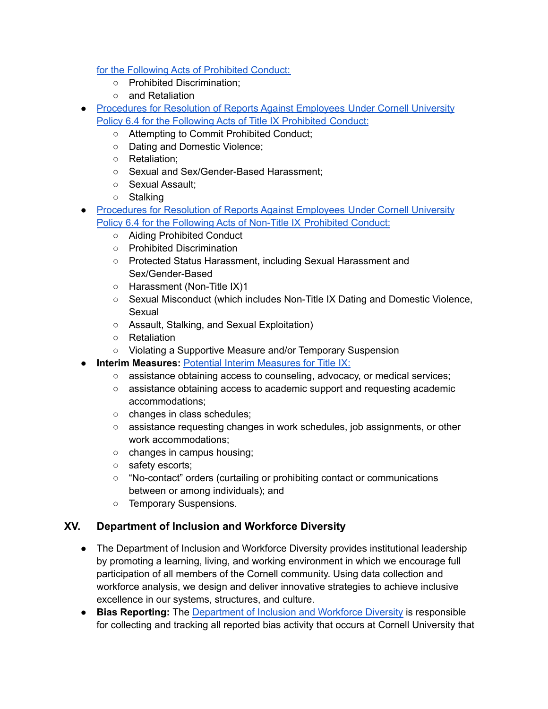for the Following Acts of [Prohibited](https://cpb-us-e1.wpmucdn.com/blogs.cornell.edu/dist/6/7016/files/2019/05/Procedures-for-Resolution-of-Reports-of-Prohibited-Discrimination-Against-Staff-Under-Cornell-University-Policy-6.4-6.1.2019-2.pdf) Conduct:

- Prohibited Discrimination;
- and Retaliation
- [Procedures](https://cpb-us-e1.wpmucdn.com/blogs.cornell.edu/dist/6/7016/files/2020/08/Procedures-for-Resolution-of-Reports-Against-Employees-Under-Cornell-University-Policy-6.4-Title-IX-Prohibited-Conduct-8.14.2020.pdf) for Resolution of Reports Against Employees Under Cornell University Policy 6.4 for the Following Acts of Title IX [Prohibited](https://cpb-us-e1.wpmucdn.com/blogs.cornell.edu/dist/6/7016/files/2020/08/Procedures-for-Resolution-of-Reports-Against-Employees-Under-Cornell-University-Policy-6.4-Title-IX-Prohibited-Conduct-8.14.2020.pdf) Conduct:
	- Attempting to Commit Prohibited Conduct;
	- Dating and Domestic Violence;
	- Retaliation;
	- Sexual and Sex/Gender-Based Harassment;
	- Sexual Assault;
	- Stalking
- [Procedures](https://cpb-us-e1.wpmucdn.com/blogs.cornell.edu/dist/6/7016/files/2020/08/Procedures-for-Resolution-of-Reports-Against-Employees-Under-Cornell-University-Policy-6.4-Non-Title-IX-Prohibited-Conduct-8.14.2020.pdf) for Resolution of Reports Against Employees Under Cornell University Policy 6.4 for the Following Acts of Non-Title IX [Prohibited](https://cpb-us-e1.wpmucdn.com/blogs.cornell.edu/dist/6/7016/files/2020/08/Procedures-for-Resolution-of-Reports-Against-Employees-Under-Cornell-University-Policy-6.4-Non-Title-IX-Prohibited-Conduct-8.14.2020.pdf) Conduct:
	- Aiding Prohibited Conduct
	- Prohibited Discrimination
	- Protected Status Harassment, including Sexual Harassment and Sex/Gender-Based
	- Harassment (Non-Title IX)1
	- Sexual Misconduct (which includes Non-Title IX Dating and Domestic Violence, Sexual
	- Assault, Stalking, and Sexual Exploitation)
	- Retaliation
	- Violating a Supportive Measure and/or Temporary Suspension
- **● Interim Measures:** Potential Interim [Measures](http://titleix.cornell.edu/resources/interim_measures/) for Title IX:
	- **○** assistance obtaining access to counseling, advocacy, or medical services;
	- **○** assistance obtaining access to academic support and requesting academic accommodations;
	- **○** changes in class schedules;
	- **○** assistance requesting changes in work schedules, job assignments, or other work accommodations;
	- **○** changes in campus housing;
	- **○** safety escorts;
	- **○** "No-contact" orders (curtailing or prohibiting contact or communications between or among individuals); and
	- **○** Temporary Suspensions.

### <span id="page-12-0"></span>**XV. Department of Inclusion and Workforce Diversity**

- The Department of Inclusion and Workforce Diversity provides institutional leadership by promoting a learning, living, and working environment in which we encourage full participation of all members of the Cornell community. Using data collection and workforce analysis, we design and deliver innovative strategies to achieve inclusive excellence in our systems, structures, and culture.
- **● Bias Reporting:** The [Department](https://diversity.cornell.edu/department-inclusion-and-workforce-diversity) of Inclusion and Workforce Diversity is responsible for collecting and tracking all reported bias activity that occurs at Cornell University that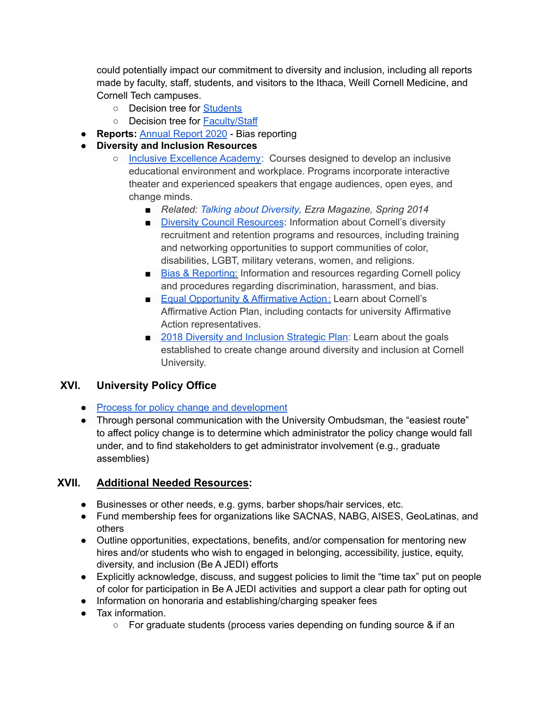could potentially impact our commitment to diversity and inclusion, including all reports made by faculty, staff, students, and visitors to the Ithaca, Weill Cornell Medicine, and Cornell Tech campuses.

- **○** Decision tree for [Students](https://diversity.cornell.edu/our-commitments/bias-reporting-cornell/students)
- **○** Decision tree for [Faculty/Staff](https://diversity.cornell.edu/our-commitments/bias-reporting-cornell/facultystaff)
- **● Reports:** [Annual](https://diversity.cornell.edu/sites/default/files/uploaded-files/FY20%20Bias%20Report%20final%2008.12.20.pdf) Report 2020 Bias reporting
- **Diversity and Inclusion Resources**
	- Inclusive [Excellence](https://diversity.cornell.edu/our-commitments/inclusive-excellence-network/inclusive-excellence-academy) Academy: Courses designed to develop an inclusive educational environment and workplace. Programs incorporate interactive theater and experienced speakers that engage audiences, open eyes, and change minds.
		- *Related: Talking about [Diversity](http://ezramagazine.cornell.edu/SPRING14/cover.html), Ezra Magazine, Spring 2014*
		- Diversity Council [Resources](https://diversity.cornell.edu/about-us/diversity-council-resources): Information about Cornell's diversity recruitment and retention programs and resources, including training and networking opportunities to support communities of color, disabilities, LGBT, military veterans, women, and religions.
		- Bias & [Reporting:](https://hr.cornell.edu/our-culture-diversity/diversity-inclusion/harassment-discrimination-and-bias-reporting) Information and resources regarding Cornell policy and procedures regarding discrimination, harassment, and bias.
		- [Eq](https://hr.cornell.edu/our-culture-diversity/diversity-inclusion/eoaa)ual [Opportunity](https://hr.cornell.edu/our-culture-diversity/diversity-inclusion/equal-opportunity-and-affirmative-action) & Affirmative Action: Learn about Cornell's Affirmative Action Plan, including contacts for university Affirmative Action representatives.
		- 2018 Diversity and [Inclusion](http://diversity.cornell.edu/sites/default/files/uploaded-files/Diversity%20Inclusion%20Strategic%20Plan.pdf) Strategic Plan: Learn about the goals established to create change around diversity and inclusion at Cornell University.

### <span id="page-13-0"></span>**XVI. University Policy Office**

- Process for policy change and [development](https://www.dfa.cornell.edu/policy/development)
- Through personal communication with the University Ombudsman, the "easiest route" to affect policy change is to determine which administrator the policy change would fall under, and to find stakeholders to get administrator involvement (e.g., graduate assemblies)

### <span id="page-13-1"></span>**XVII. Additional Needed Resources:**

- Businesses or other needs, e.g. gyms, barber shops/hair services, etc.
- Fund membership fees for organizations like SACNAS, NABG, AISES, GeoLatinas, and others
- Outline opportunities, expectations, benefits, and/or compensation for mentoring new hires and/or students who wish to engaged in belonging, accessibility, justice, equity, diversity, and inclusion (Be A JEDI) efforts
- Explicitly acknowledge, discuss, and suggest policies to limit the "time tax" put on people of color for participation in Be A JEDI activities and support a clear path for opting out
- Information on honoraria and establishing/charging speaker fees
- Tax information.
	- For graduate students (process varies depending on funding source & if an